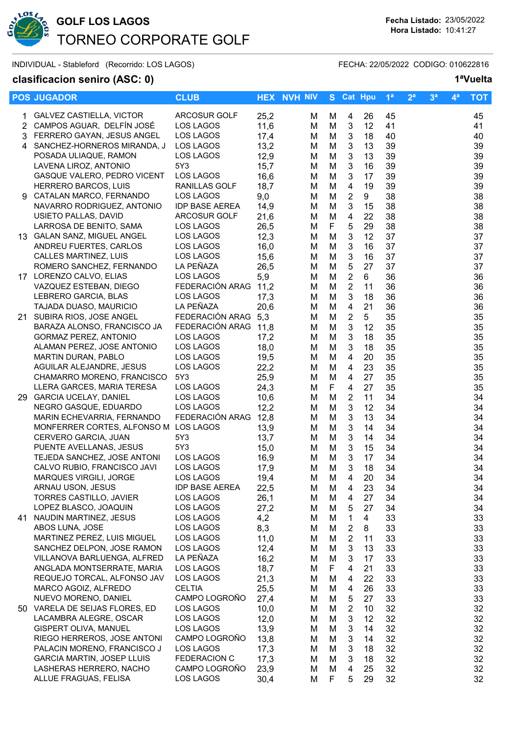

# **GOLF LOS LAGOS Fecha Listado:** 23/05/2022 TORNEO CORPORATE GOLF  $\sim$  . The sequence of the sequence of the sequence of the sequence of the sequence of the sequence of the sequence of the sequence of the sequence of the sequence of the sequence of the sequence of the sequence of the se

INDIVIDUAL - Stableford (Recorrido: LOS LAGOS) FECHA: 22/05/2022 CODIGO: 010622816

## **clasificacion seniro (ASC: 0) 1ªVuelta**

|    | <b>POS JUGADOR</b>                               | <b>CLUB</b>                |              | <b>HEX NVH NIV</b> |             | S Cat Hpu                 |          | 1 <sup>a</sup> | 2 <sup>a</sup> | 3 <sup>a</sup> | $4^a$ | <b>TOT</b> |
|----|--------------------------------------------------|----------------------------|--------------|--------------------|-------------|---------------------------|----------|----------------|----------------|----------------|-------|------------|
|    | <b>GALVEZ CASTIELLA, VICTOR</b>                  | <b>ARCOSUR GOLF</b>        | 25,2         | м                  | M           | 4                         | 26       | 45             |                |                |       | 45         |
|    | 2 CAMPOS AGUAR, DELFÍN JOSÉ                      | LOS LAGOS                  | 11,6         | M                  | M           | 3                         | 12       | 41             |                |                |       | 41         |
|    | 3 FERRERO GAYAN, JESUS ANGEL                     | LOS LAGOS                  | 17,4         | M                  | M           | $\mathbf{3}$              | 18       | 40             |                |                |       | 40         |
|    | 4 SANCHEZ-HORNEROS MIRANDA, J                    | LOS LAGOS                  | 13,2         | M                  | M           | $\sqrt{3}$                | 13       | 39             |                |                |       | 39         |
|    | POSADA ULIAQUE, RAMON                            | LOS LAGOS                  | 12,9         | M                  | M           | $\ensuremath{\mathsf{3}}$ | 13       | 39             |                |                |       | 39         |
|    | LAVENA LIROZ, ANTONIO                            | 5Y3                        | 15,7         | M                  | M           | $\ensuremath{\mathsf{3}}$ | 16       | 39             |                |                |       | 39         |
|    | GASQUE VALERO, PEDRO VICENT                      | LOS LAGOS                  | 16,6         | M                  | M           | 3                         | 17       | 39             |                |                |       | 39         |
|    | <b>HERRERO BARCOS, LUIS</b>                      | RANILLAS GOLF              | 18,7         | M                  | M           | 4                         | 19       | 39             |                |                |       | 39         |
|    | 9 CATALAN MARCO, FERNANDO                        | LOS LAGOS                  | 9,0          | M                  | M           | $\overline{2}$            | 9        | 38             |                |                |       | 38         |
|    | NAVARRO RODRIGUEZ, ANTONIO                       | <b>IDP BASE AEREA</b>      | 14,9         | M                  | M           | 3                         | 15       | 38             |                |                |       | 38         |
|    | USIETO PALLAS, DAVID                             | ARCOSUR GOLF               | 21,6         | M                  | M           | 4                         | 22       | 38             |                |                |       | 38         |
|    | LARROSA DE BENITO, SAMA                          | LOS LAGOS                  | 26,5         | M                  | F           | $\mathbf 5$               | 29       | 38             |                |                |       | 38         |
|    | 13 GALAN SANZ, MIGUEL ANGEL                      | LOS LAGOS                  | 12,3         | M                  | M           | $\ensuremath{\mathsf{3}}$ | 12       | 37             |                |                |       | 37         |
|    | ANDREU FUERTES, CARLOS                           | LOS LAGOS                  | 16,0         | M                  | M           | 3                         | 16       | 37             |                |                |       | 37         |
|    | CALLES MARTINEZ, LUIS                            | LOS LAGOS                  | 15,6         | M                  | M           | $\mathbf{3}$              | 16       | 37             |                |                |       | 37         |
|    | ROMERO SANCHEZ, FERNANDO                         | LA PEÑAZA                  | 26,5         | M                  | M           | 5                         | 27       | 37             |                |                |       | 37         |
|    | 17 LORENZO CALVO, ELIAS                          | LOS LAGOS                  | 5,9          | M                  | M           | $\overline{2}$            | 6        | 36             |                |                |       | 36         |
|    | VAZQUEZ ESTEBAN, DIEGO                           | FEDERACIÓN ARAG            | 11,2         | M                  | M           | $\overline{2}$            | 11       | 36             |                |                |       | 36         |
|    | LEBRERO GARCIA, BLAS                             | LOS LAGOS                  | 17,3         | M                  | M           | $\ensuremath{\mathsf{3}}$ | 18       | 36             |                |                |       | 36         |
|    | TAJADA DUASO, MAURICIO                           | LA PEÑAZA                  | 20,6         | M                  | M           | 4                         | 21       | 36             |                |                |       | 36         |
| 21 | SUBIRA RIOS, JOSE ANGEL                          | FEDERACIÓN ARAG 5,3        |              | м                  | M           | $\overline{2}$            | 5        | 35             |                |                |       | 35         |
|    | BARAZA ALONSO, FRANCISCO JA                      | FEDERACIÓN ARAG            | 11,8         | M                  | M           | 3                         | 12       | 35             |                |                |       | 35         |
|    | <b>GORMAZ PEREZ, ANTONIO</b>                     | LOS LAGOS                  | 17,2         | M                  | M           | 3                         | 18       | 35             |                |                |       | 35         |
|    | ALAMAN PEREZ, JOSE ANTONIO                       | LOS LAGOS                  | 18,0         | M                  | M           | 3                         | 18       | 35             |                |                |       | 35         |
|    | <b>MARTIN DURAN, PABLO</b>                       | LOS LAGOS                  | 19,5         | M                  | M           | 4                         | 20       | 35             |                |                |       | 35         |
|    | AGUILAR ALEJANDRE, JESUS                         | LOS LAGOS                  | 22,2         | M                  | M           | 4                         | 23       | 35             |                |                |       | 35         |
|    | CHAMARRO MORENO, FRANCISCO                       | 5Y3                        | 25,9         | M                  | M           | 4                         | 27       | 35             |                |                |       | 35         |
|    | LLERA GARCES, MARIA TERESA                       | LOS LAGOS                  | 24,3         | M                  | $\mathsf F$ | 4                         | 27       | 35             |                |                |       | 35         |
|    | 29 GARCIA UCELAY, DANIEL                         | LOS LAGOS                  | 10,6         | M                  | M           | $\overline{2}$            | 11       | 34             |                |                |       | 34         |
|    | NEGRO GASQUE, EDUARDO                            | LOS LAGOS                  | 12,2         | M                  | M           | $\ensuremath{\mathsf{3}}$ | 12       | 34             |                |                |       | 34         |
|    | MARIN ECHEVARRIA, FERNANDO                       | FEDERACIÓN ARAG            | 12,8         | M                  | M           | $\ensuremath{\mathsf{3}}$ | 13       | 34             |                |                |       | 34         |
|    | MONFERRER CORTES, ALFONSO M LOS LAGOS            |                            | 13,9         | M                  | M           | $\ensuremath{\mathsf{3}}$ | 14       | 34             |                |                |       | 34         |
|    | CERVERO GARCIA, JUAN                             | 5Y3                        | 13,7         | M                  | M           | 3                         | 14       | 34             |                |                |       | 34         |
|    | PUENTE AVELLANAS, JESUS                          | 5Y3                        | 15,0         | M                  | M           | 3                         | 15       | 34             |                |                |       | 34         |
|    | TEJEDA SANCHEZ, JOSE ANTONI                      | LOS LAGOS                  | 16,9         | M                  | M           | 3                         | 17       | 34             |                |                |       | 34         |
|    | CALVO RUBIO, FRANCISCO JAVI                      | LOS LAGOS                  | 17,9         | M                  | M           | 3                         | 18       | 34             |                |                |       | 34         |
|    | MARQUES VIRGILI, JORGE                           | LOS LAGOS                  | 19,4         | М                  | M           | 4                         | 20       | 34             |                |                |       | 34         |
|    | ARNAU USON, JESUS                                | <b>IDP BASE AEREA</b>      | 22,5         | М                  | M           | 4                         | 23       | 34             |                |                |       | 34         |
|    | TORRES CASTILLO, JAVIER                          | LOS LAGOS                  | 26,1         | M                  | M           | 4                         | 27       | 34             |                |                |       | 34         |
|    | LOPEZ BLASCO, JOAQUIN                            | LOS LAGOS                  | 27,2         | M                  | M           | 5                         | 27       | 34             |                |                |       | 34         |
|    | 41 NAUDIN MARTINEZ, JESUS                        | LOS LAGOS                  | 4,2          | M                  | M           | 1                         | 4        | 33             |                |                |       | 33         |
|    | ABOS LUNA, JOSE                                  | LOS LAGOS                  | 8,3          | M                  | M           | $\overline{2}$            | 8        | 33             |                |                |       | 33         |
|    | MARTINEZ PEREZ, LUIS MIGUEL                      | LOS LAGOS                  | 11,0         | м                  | M           | $\overline{2}$            | 11       | 33             |                |                |       | 33         |
|    | SANCHEZ DELPON, JOSE RAMON                       | LOS LAGOS                  | 12,4         | M                  | M           | 3                         | 13       | 33             |                |                |       | 33         |
|    | VILLANOVA BARLUENGA, ALFRED                      | LA PEÑAZA                  | 16,2         | M                  | M           | 3                         | 17       | 33             |                |                |       | 33         |
|    | ANGLADA MONTSERRATE, MARIA                       | <b>LOS LAGOS</b>           | 18,7         | м                  | F           | 4                         | 21       | 33             |                |                |       | 33         |
|    | REQUEJO TORCAL, ALFONSO JAV                      | LOS LAGOS                  | 21,3         | M                  | M           | 4                         | 22       | 33             |                |                |       | 33         |
|    | MARCO AGOIZ, ALFREDO                             | <b>CELTIA</b>              | 25,5         | м                  | M           | 4                         | 26       | 33             |                |                |       | 33         |
|    | NUEVO MORENO, DANIEL                             | CAMPO LOGROÑO              | 27,4         | M                  | M           | 5                         | 27       | 33             |                |                |       | 33         |
|    | 50 VARELA DE SEIJAS FLORES, ED                   | LOS LAGOS                  | 10,0         | M                  | M           | $\overline{2}$            | 10       | 32             |                |                |       | 32         |
|    | LACAMBRA ALEGRE, OSCAR                           | LOS LAGOS                  | 12,0         | M                  | M           | 3                         | 12       | 32             |                |                |       | 32         |
|    | GISPERT OLIVA, MANUEL                            | LOS LAGOS                  | 13,9         | M                  | M           | 3                         | 14       | 32             |                |                |       | 32         |
|    | RIEGO HERREROS, JOSE ANTONI                      | CAMPO LOGROÑO              | 13,8         | M                  | M           | 3                         | 14       | 32             |                |                |       | 32         |
|    | PALACIN MORENO, FRANCISCO J                      | LOS LAGOS                  | 17,3         | M                  | M           | 3                         | 18       | 32             |                |                |       | 32         |
|    | <b>GARCIA MARTIN, JOSEP LLUIS</b>                | <b>FEDERACION C</b>        | 17,3         | M                  | M           | 3                         | 18       | 32             |                |                |       | 32         |
|    | LASHERAS HERRERO, NACHO<br>ALLUE FRAGUAS, FELISA | CAMPO LOGROÑO<br>LOS LAGOS | 23,9<br>30,4 | M                  | M<br>F      | 4                         | 25<br>29 | 32<br>32       |                |                |       | 32<br>32   |
|    |                                                  |                            |              | М                  |             | 5                         |          |                |                |                |       |            |